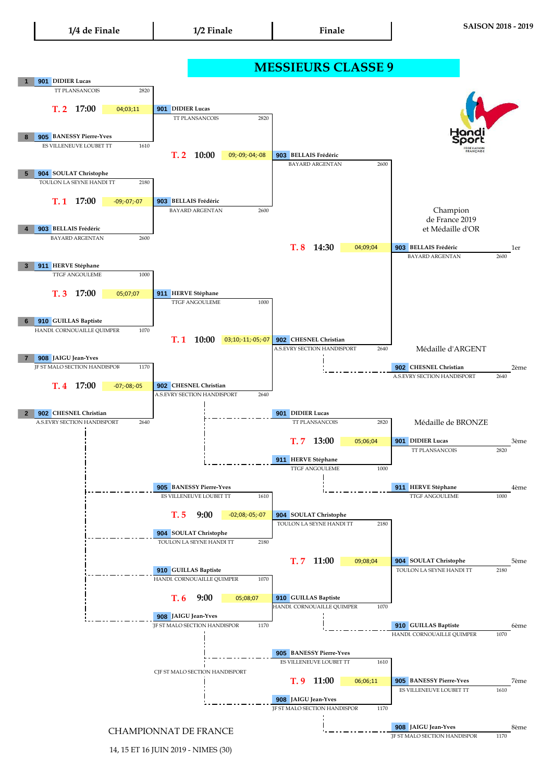

## **1 901 DIDIER Lucas 17:00** 04;03;11 **901 8 905 BANESSY Pierre-Yves** <mark>T. 2</mark> 10:00 09;-09;-04;-08 <mark>903</mark> **5 904 SOULAT Christophe T. 1 17:00 4 903 BELLAIS Frédéric T. 8 14:30 04;09;04 <mark>903</mark> BELLAIS Frédéric 1er 3 911 HERVE Stéphane T. 3 911 17:00 6 910 GUILLAS Baptiste T. 1 10:00 03;10;-11;-05;-07 902 CHESNEL Christian 7 908 JAIGU Jean-Yves 902** 2ème **CHESNEL Christian**  $T.4$  **17:00 2 902 CHESNEL Christian T. 7 13:00 05;06;04 <mark>901</mark> DIDIER Lucas** \_\_\_\_\_\_\_\_\_\_\_\_\_\_\_\_\_\_\_\_\_\_\_3ème **911 HERVE Stéphane 905** BANESSY Pierre-Yves **Actual 2 1 1 1 1 1 1 911 HERVE Stéphane 4**ème T. 5 9:00  $-02;08; -05; -07$ **904 SOULAT Christophe T. 7 904** 5ème **SOULAT Christophe 910 GUILLAS Baptiste** TTGF ANGOULEME 1000 ES VILLENEUVE LOUBET TT 1610 HANDI. CORNOUAILLE QUIMPER 1070 A.S.EVRY SECTION HANDISPORT A.S.EVRY SECTION HANDISPORT 2640 **901** DIDIER Lucas A.S.EVRY SECTION HANDISPORT 2640 904 SOULAT Christophe TOULON LA SEYNE HANDI TT TOULON LA SEYNE HANDI TT **13:00** 05;06;04 A.S.EVRY SECTION HANDISPORT 2640 **902 CHESNEL Christian JF ST MALO SECTION HANDISPOR** -07;-08;-05 1170 BAYARD ARGENTAN 2600 **14:30** 1070 **911 HERVE Stéphane** TTGF ANGOULEME 1000 05;07;07 TTGF ANGOULEME HANDI. CORNOUAILLE QUIMPER BAYARD ARGENTAN 2600 **903 BELLAIS Frédéric** BAYARD ARGENTAN 2820 2820 TOULON LA SEYNE HANDI TT 2180 TT PLANSANCOIS **911 HERVE Stéphane** TTGF ANGOULEME **9:00 11:00** 09;08;04 2180 2180 1000 1610 2820 2600 09;-09;-04;-08 **17:00** -09;-07;-07 TT PLANSANCOIS 1000 et Médaille d'OR Médaille d'ARGENT Médaille de BRONZE **BELLAIS Frédéric** 04;09;04 2640 TT PLANSANCOIS **MESSIEURS CLASSE 9** Champion de France 2019 TOULON LA SEYNE HANDI TT 2180 **901** DIDIER Lucas TT PLANSANCOIS 2820 BAYARD ARGENTAN 2600 ES VILLENEUVE LOUBET TT